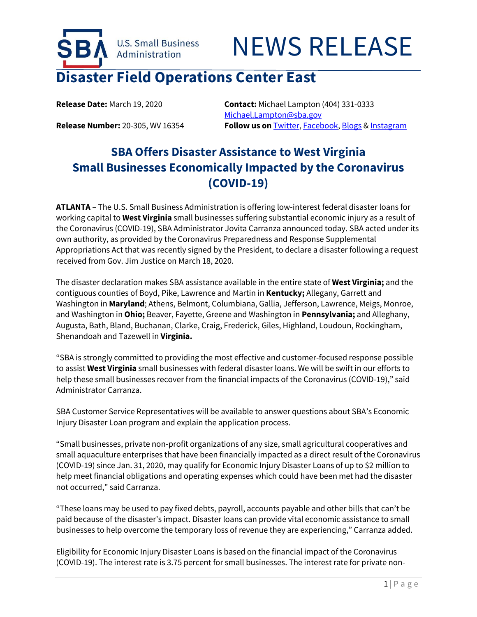

**Release Date:** March 19, 2020 **Contact:** Michael Lampton (404) 331-0333 [Michael.Lampton@sba.gov](mailto:Michael.Lampton@sba.gov) **Release Number:** 20-305, WV 16354 **Follow us on** [Twitter,](http://www.twitter.com/SBAgov) [Facebook,](http://www.facebook.com/sbagov) [Blogs](http://www.sba.gov/blogs) [& Instagram](https://www.instagram.com/sbagov/)

## **SBA Offers Disaster Assistance to West Virginia Small Businesses Economically Impacted by the Coronavirus (COVID-19)**

**ATLANTA** – The U.S. Small Business Administration is offering low-interest federal disaster loans for working capital to **West Virginia** small businesses suffering substantial economic injury as a result of the Coronavirus (COVID-19), SBA Administrator Jovita Carranza announced today. SBA acted under its own authority, as provided by the Coronavirus Preparedness and Response Supplemental Appropriations Act that was recently signed by the President, to declare a disaster following a request received from Gov. Jim Justice on March 18, 2020.

The disaster declaration makes SBA assistance available in the entire state of **West Virginia;** and the contiguous counties of Boyd, Pike, Lawrence and Martin in **Kentucky;** Allegany, Garrett and Washington in **Maryland**; Athens, Belmont, Columbiana, Gallia, Jefferson, Lawrence, Meigs, Monroe, and Washington in **Ohio;** Beaver, Fayette, Greene and Washington in **Pennsylvania;** and Alleghany, Augusta, Bath, Bland, Buchanan, Clarke, Craig, Frederick, Giles, Highland, Loudoun, Rockingham, Shenandoah and Tazewell in **Virginia.**

"SBA is strongly committed to providing the most effective and customer-focused response possible to assist **West Virginia** small businesses with federal disaster loans. We will be swift in our efforts to help these small businesses recover from the financial impacts of the Coronavirus (COVID-19)," said Administrator Carranza.

SBA Customer Service Representatives will be available to answer questions about SBA's Economic Injury Disaster Loan program and explain the application process.

"Small businesses, private non-profit organizations of any size, small agricultural cooperatives and small aquaculture enterprises that have been financially impacted as a direct result of the Coronavirus (COVID-19) since Jan. 31, 2020, may qualify for Economic Injury Disaster Loans of up to \$2 million to help meet financial obligations and operating expenses which could have been met had the disaster not occurred," said Carranza.

"These loans may be used to pay fixed debts, payroll, accounts payable and other bills that can't be paid because of the disaster's impact. Disaster loans can provide vital economic assistance to small businesses to help overcome the temporary loss of revenue they are experiencing," Carranza added.

Eligibility for Economic Injury Disaster Loans is based on the financial impact of the Coronavirus (COVID-19). The interest rate is 3.75 percent for small businesses. The interest rate for private non